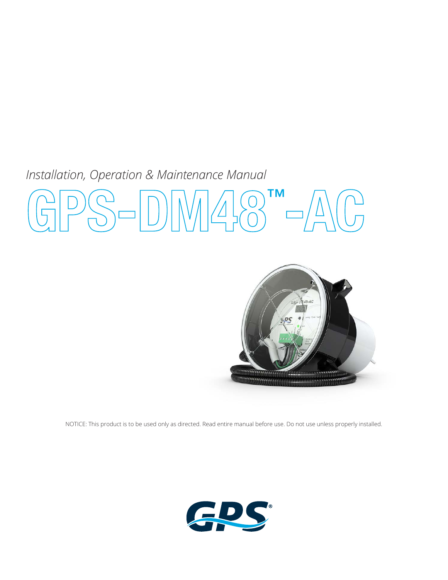# *Installation, Operation & Maintenance Manual*  **GPS-DM48**™  $\bigodot$



NOTICE: This product is to be used only as directed. Read entire manual before use. Do not use unless properly installed.

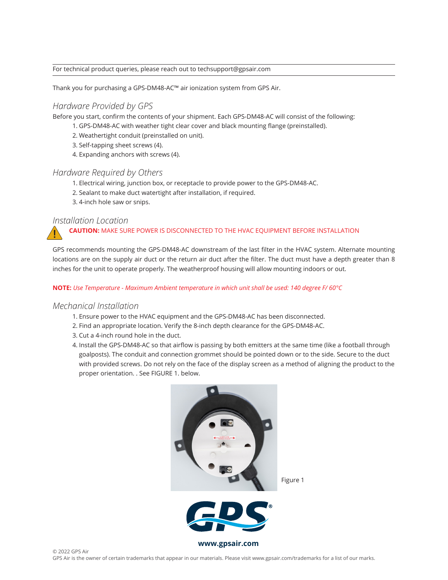#### For technical product queries, please reach out to techsupport@gpsair.com

Thank you for purchasing a GPS-DM48-AC™ air ionization system from GPS Air.

#### *Hardware Provided by GPS*

Before you start, confirm the contents of your shipment. Each GPS-DM48-AC will consist of the following:

- 1. GPS-DM48-AC with weather tight clear cover and black mounting flange (preinstalled).
- 2. Weathertight conduit (preinstalled on unit).
- 3. Self-tapping sheet screws (4).
- 4. Expanding anchors with screws (4).

#### *Hardware Required by Others*

- 1. Electrical wiring, junction box, or receptacle to provide power to the GPS-DM48-AC.
- 2. Sealant to make duct watertight after installation, if required.
- 3. 4-inch hole saw or snips.

#### *Installation Location*

**!**

#### **CAUTION:** MAKE SURE POWER IS DISCONNECTED TO THE HVAC EQUIPMENT BEFORE INSTALLATION

GPS recommends mounting the GPS-DM48-AC downstream of the last filter in the HVAC system. Alternate mounting locations are on the supply air duct or the return air duct after the filter. The duct must have a depth greater than 8 inches for the unit to operate properly. The weatherproof housing will allow mounting indoors or out.

#### **NOTE:** *Use Temperature - Maximum Ambient temperature in which unit shall be used: 140 degree F/ 60°C*

#### *Mechanical Installation*

- 1. Ensure power to the HVAC equipment and the GPS-DM48-AC has been disconnected.
- 2. Find an appropriate location. Verify the 8-inch depth clearance for the GPS-DM48-AC.
- 3. Cut a 4-inch round hole in the duct.
- 4. Install the GPS-DM48-AC so that airflow is passing by both emitters at the same time (like a football through goalposts). The conduit and connection grommet should be pointed down or to the side. Secure to the duct with provided screws. Do not rely on the face of the display screen as a method of aligning the product to the proper orientation. . See FIGURE 1. below.

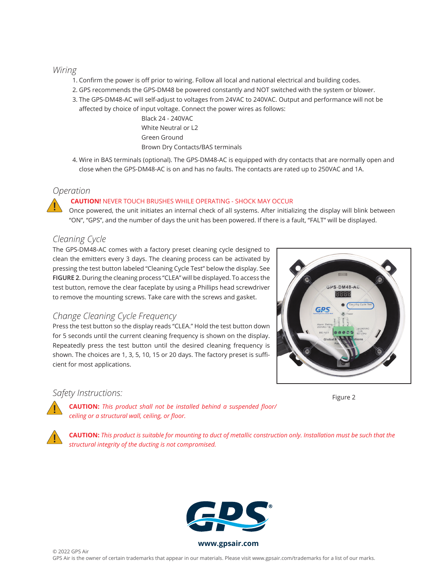#### *Wiring*

- 1. Confirm the power is off prior to wiring. Follow all local and national electrical and building codes.
- 2. GPS recommends the GPS-DM48 be powered constantly and NOT switched with the system or blower.
- 3. The GPS-DM48-AC will self-adjust to voltages from 24VAC to 240VAC. Output and performance will not be affected by choice of input voltage. Connect the power wires as follows:

Black 24 - 240VAC White Neutral or L2 Green Ground Brown Dry Contacts/BAS terminals

4. Wire in BAS terminals (optional). The GPS-DM48-AC is equipped with dry contacts that are normally open and close when the GPS-DM48-AC is on and has no faults. The contacts are rated up to 250VAC and 1A.

#### *Operation*

**!**

#### **CAUTION!** NEVER TOUCH BRUSHES WHILE OPERATING - SHOCK MAY OCCUR

Once powered, the unit initiates an internal check of all systems. After initializing the display will blink between "ON", "GPS", and the number of days the unit has been powered. If there is a fault, "FALT" will be displayed.

### *Cleaning Cycle*

The GPS-DM48-AC comes with a factory preset cleaning cycle designed to clean the emitters every 3 days. The cleaning process can be activated by pressing the test button labeled "Cleaning Cycle Test" below the display. See **FIGURE 2**. During the cleaning process "CLEA" will be displayed. To access the test button, remove the clear faceplate by using a Phillips head screwdriver to remove the mounting screws. Take care with the screws and gasket.

### *Change Cleaning Cycle Frequency*

Press the test button so the display reads "CLEA." Hold the test button down for 5 seconds until the current cleaning frequency is shown on the display. Repeatedly press the test button until the desired cleaning frequency is shown. The choices are 1, 3, 5, 10, 15 or 20 days. The factory preset is sufficient for most applications.



#### *Safety Instructions:*

**!**

**!**

Figure 2

**CAUTION:** *This product shall not be installed behind a suspended floor/ ceiling or a structural wall, ceiling, or floor.*

**CAUTION:** *This product is suitable for mounting to duct of metallic construction only. Installation must be such that the structural integrity of the ducting is not compromised.*



**www.globalplasmasolutions.com www.gpsair.com**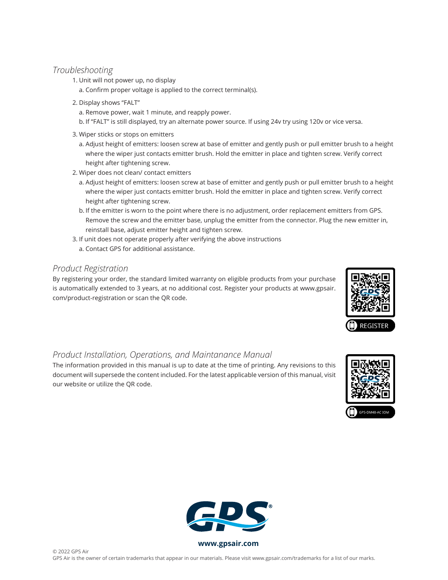#### *Troubleshooting*

- 1. Unit will not power up, no display
	- a. Confirm proper voltage is applied to the correct terminal(s).
- 2. Display shows "FALT"
	- a. Remove power, wait 1 minute, and reapply power.
	- b. If "FALT" is still displayed, try an alternate power source. If using 24v try using 120v or vice versa.
- 3. Wiper sticks or stops on emitters
	- a. Adjust height of emitters: loosen screw at base of emitter and gently push or pull emitter brush to a height where the wiper just contacts emitter brush. Hold the emitter in place and tighten screw. Verify correct height after tightening screw.
- 2. Wiper does not clean/ contact emitters
	- a. Adjust height of emitters: loosen screw at base of emitter and gently push or pull emitter brush to a height where the wiper just contacts emitter brush. Hold the emitter in place and tighten screw. Verify correct height after tightening screw.
	- b. If the emitter is worn to the point where there is no adjustment, order replacement emitters from GPS. Remove the screw and the emitter base, unplug the emitter from the connector. Plug the new emitter in, reinstall base, adjust emitter height and tighten screw.
- 3. If unit does not operate properly after verifying the above instructions a. Contact GPS for additional assistance.

## *Product Registration*

By registering your order, the standard limited warranty on eligible products from your purchase is automatically extended to 3 years, at no additional cost. Register your products at www.gpsair. com/product-registration or scan the QR code.



### *Product Installation, Operations, and Maintanance Manual*

The information provided in this manual is up to date at the time of printing. Any revisions to this document will supersede the content included. For the latest applicable version of this manual, visit our website or utilize the QR code.





**www.globalplasmasolutions.com www.gpsair.com**